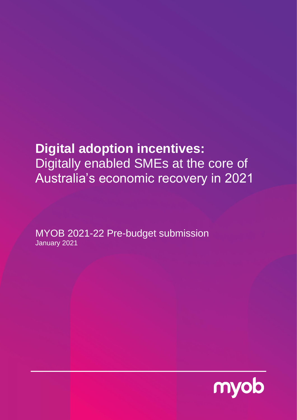# **Digital adoption incentives:**  Digitally enabled SMEs at the core of Australia's economic recovery in 2021

MYOB 2021-22 Pre-budget submission January 2021

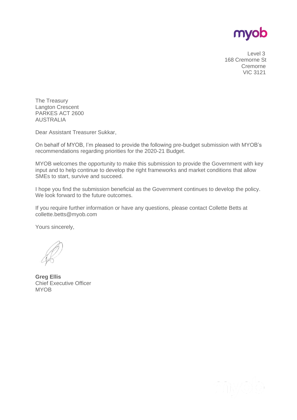

 Level 3 168 Cremorne St Cremorne VIC 3121

The Treasury Langton Crescent PARKES ACT 2600 AUSTRALIA

Dear Assistant Treasurer Sukkar,

On behalf of MYOB, I'm pleased to provide the following pre-budget submission with MYOB's recommendations regarding priorities for the 2020-21 Budget.

MYOB welcomes the opportunity to make this submission to provide the Government with key input and to help continue to develop the right frameworks and market conditions that allow SMEs to start, survive and succeed.

I hope you find the submission beneficial as the Government continues to develop the policy. We look forward to the future outcomes.

If you require further information or have any questions, please contact Collette Betts at collette.betts@myob.com

Yours sincerely,

**Greg Ellis** Chief Executive Officer **MYOB** 

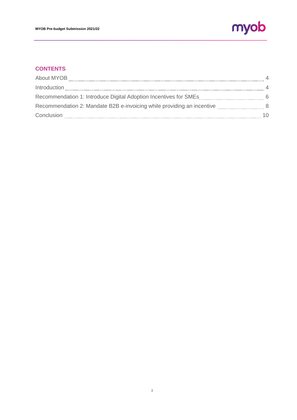

# **CONTENTS**

| Introduction                                                                           | $\overline{4}$ |
|----------------------------------------------------------------------------------------|----------------|
|                                                                                        |                |
| Recommendation 2: Mandate B2B e-invoicing while providing an incentive manuscription 8 |                |
| Conclusion                                                                             | 10             |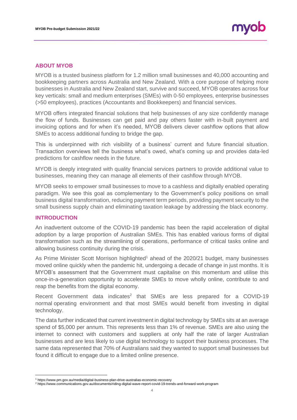# **ABOUT MYOB**

MYOB is a trusted business platform for 1.2 million small businesses and 40,000 accounting and bookkeeping partners across Australia and New Zealand. With a core purpose of helping more businesses in Australia and New Zealand start, survive and succeed, MYOB operates across four key verticals: small and medium enterprises (SMEs) with 0-50 employees, enterprise businesses (>50 employees), practices (Accountants and Bookkeepers) and financial services.

MYOB offers integrated financial solutions that help businesses of any size confidently manage the flow of funds. Businesses can get paid and pay others faster with in-built payment and invoicing options and for when it's needed, MYOB delivers clever cashflow options that allow SMEs to access additional funding to bridge the gap.

This is underpinned with rich visibility of a business' current and future financial situation. Transaction overviews tell the business what's owed, what's coming up and provides data-led predictions for cashflow needs in the future.

MYOB is deeply integrated with quality financial services partners to provide additional value to businesses, meaning they can manage all elements of their cashflow through MYOB.

MYOB seeks to empower small businesses to move to a cashless and digitally enabled operating paradigm. We see this goal as complementary to the Government's policy positions on small business digital transformation, reducing payment term periods, providing payment security to the small business supply chain and eliminating taxation leakage by addressing the black economy.

## **INTRODUCTION**

An inadvertent outcome of the COVID-19 pandemic has been the rapid acceleration of digital adoption by a large proportion of Australian SMEs. This has enabled various forms of digital transformation such as the streamlining of operations, performance of critical tasks online and allowing business continuity during the crisis.

As Prime Minister Scott Morrison highlighted<sup>1</sup> ahead of the 2020/21 budget, many businesses moved online quickly when the pandemic hit, undergoing a decade of change in just months. It is MYOB's assessment that the Government must capitalise on this momentum and utilise this once-in-a-generation opportunity to accelerate SMEs to move wholly online, contribute to and reap the benefits from the digital economy.

Recent Government data indicates<sup>2</sup> that SMEs are less prepared for a COVID-19 normal operating environment and that most SMEs would benefit from investing in digital technology.

The data further indicated that current investment in digital technology by SMEs sits at an average spend of \$5,000 per annum. This represents less than 1% of revenue. SMEs are also using the internet to connect with customers and suppliers at only half the rate of larger Australian businesses and are less likely to use digital technology to support their business processes. The same data represented that 70% of Australians said they wanted to support small businesses but found it difficult to engage due to a limited online presence.

<sup>1</sup> https://www.pm.gov.au/media/digital-business-plan-drive-australias-economic-recovery

<sup>2</sup> https://www.communications.gov.au/documents/riding-digital-wave-report-covid-19-trends-and-forward-work-program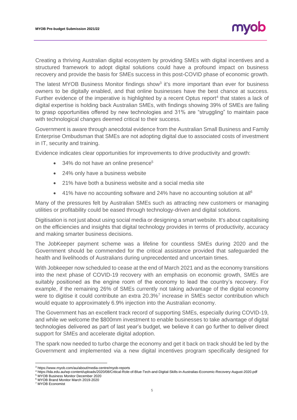Creating a thriving Australian digital ecosystem by providing SMEs with digital incentives and a structured framework to adopt digital solutions could have a profound impact on business recovery and provide the basis for SMEs success in this post-COVID phase of economic growth.

The latest MYOB Business Monitor findings show $3$  it's more important than ever for business owners to be digitally enabled, and that online businesses have the best chance at success. Further evidence of the imperative is highlighted by a recent Optus report<sup>4</sup> that states a lack of digital expertise is holding back Australian SMEs, with findings showing 39% of SMEs are failing to grasp opportunities offered by new technologies and 31% are "struggling" to maintain pace with technological changes deemed critical to their success.

Government is aware through anecdotal evidence from the Australian Small Business and Family Enterprise Ombudsman that SMEs are not adopting digital due to associated costs of investment in IT, security and training.

Evidence indicates clear opportunities for improvements to drive productivity and growth:

- 34% do not have an online presence<sup>5</sup>
- 24% only have a business website
- 21% have both a business website and a social media site
- 41% have no accounting software and 24% have no accounting solution at all<sup>6</sup>

Many of the pressures felt by Australian SMEs such as attracting new customers or managing utilities or profitability could be eased through technology-driven and digital solutions.

Digitisation is not just about using social media or designing a smart website. It's about capitalising on the efficiencies and insights that digital technology provides in terms of productivity, accuracy and making smarter business decisions.

The JobKeeper payment scheme was a lifeline for countless SMEs during 2020 and the Government should be commended for the critical assistance provided that safeguarded the health and livelihoods of Australians during unprecedented and uncertain times.

With Jobkeeper now scheduled to cease at the end of March 2021 and as the economy transitions into the next phase of COVID-19 recovery with an emphasis on economic growth, SMEs are suitably positioned as the engine room of the economy to lead the country's recovery. For example, if the remaining 26% of SMEs currently not taking advantage of the digital economy were to digitise it could contribute an extra 20.3%<sup>7</sup> increase in SMEs sector contribution which would equate to approximately 6.9% injection into the Australian economy.

The Government has an excellent track record of supporting SMEs, especially during COVID-19, and while we welcome the \$800mm investment to enable businesses to take advantage of digital technologies delivered as part of last year's budget, we believe it can go further to deliver direct support for SMEs and accelerate digital adoption.

The spark now needed to turbo charge the economy and get it back on track should be led by the Government and implemented via a new digital incentives program specifically designed for

<sup>5</sup> MYOB Business Monitor December 2020

<sup>3</sup> https://www.myob.com/au/about/media-centre/myob-reports

<sup>4</sup> https://tda.edu.au/wp-content/uploads/2020/08/Critical-Role-of-Blue-Tech-and-Digital-Skills-in-Australias-Economic-Recovery-August-2020.pdf

<sup>6</sup> MYOB Brand Monitor March 2019-2020

<sup>7</sup> MYOB Economist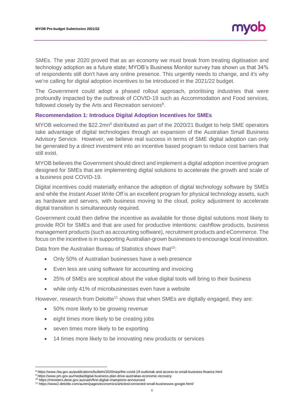SMEs. The year 2020 proved that as an economy we must break from treating digitisation and technology adoption as a future state; MYOB's Business Monitor survey has shown us that 34% of respondents still don't have any online presence. This urgently needs to change, and it's why we're calling for digital adoption incentives to be introduced in the 2021/22 budget.

The Government could adopt a phased rollout approach, prioritising industries that were profoundly impacted by the outbreak of COVID-19 such as Accommodation and Food services, followed closely by the Arts and Recreation services<sup>8</sup>.

## **Recommendation 1: Introduce Digital Adoption Incentives for SMEs**

MYOB welcomed the \$22.2mn<sup>9</sup> distributed as part of the 2020/21 Budget to help SME operators take advantage of digital technologies through an expansion of the Australian Small Business Advisory Service. However, we believe real success in terms of SME digital adoption can only be generated by a direct investment into an incentive based program to reduce cost barriers that still exist.

MYOB believes the Government should direct and implement a digital adoption incentive program designed for SMEs that are implementing digital solutions to accelerate the growth and scale of a business post COVID-19.

Digital incentives could materially enhance the adoption of digital technology software by SMEs and while the *Instant Asset Write Off* is an excellent program for physical technology assets, such as hardware and servers, with business moving to the cloud, policy adjustment to accelerate digital transition is simultaneously required.

Government could then define the incentive as available for those digital solutions most likely to provide ROI for SMEs and that are used for productive intentions: cashflow products, business management products (such as accounting software), recruitment products and eCommerce. The focus on the incentive is in supporting Australian-grown businesses to encourage local innovation.

Data from the Australian Bureau of Statistics shows that<sup>10</sup>:

- Only 50% of Australian businesses have a web presence
- Even less are using software for accounting and invoicing
- 25% of SMEs are sceptical about the value digital tools will bring to their business
- while only 41% of microbusinesses even have a website

However, research from Deloitte<sup>11</sup> shows that when SMEs are digitally engaged, they are:

- 50% more likely to be growing revenue
- eight times more likely to be creating jobs
- seven times more likely to be exporting
- 14 times more likely to be innovating new products or services

<sup>8</sup> https://www.rba.gov.au/publications/bulletin/2020/sep/the-covid-19-outbreak-and-access-to-small-business-finance.html

<sup>&</sup>lt;sup>9</sup> https://www.pm.gov.au/media/digital-business-plan-drive-australias-economic-recovery

<sup>10</sup> https://ministers.dese.gov.au/cash/first-digital-champions-announced <sup>11</sup> https://www2.deloitte.com/au/en/pages/economics/articles/connected-small-businesses-google.html/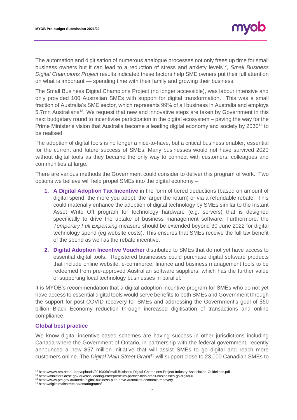The automation and digitisation of numerous analogue processes not only frees up time for small business owners but it can lead to a reduction of stress and anxiety levels<sup>12</sup>, Small Business *Digital Champions Project* results indicated these factors help SME owners put their full attention on what is important — spending time with their family and growing their business.

The Small Business Digital Champions Project (no longer accessible), was labour intensive and only provided 100 Australian SMEs with support for digital transformation. This was a small fraction of Australia's SME sector, which represents 99% of all business in Australia and employs 5.7mn Australians<sup>13</sup>. We request that new and innovative steps are taken by Government in this next budgetary round to incentivise participation in the digital ecosystem – paving the way for the Prime Minister's vision that Australia become a leading digital economy and society by 2030<sup>14</sup> to be realised.

The adoption of digital tools is no longer a nice-to-have, but a critical business enabler, essential for the current and future success of SMEs. Many businesses would not have survived 2020 without digital tools as they became the only way to connect with customers, colleagues and communities at large.

There are various methods the Government could consider to deliver this program of work. Two options we believe will help propel SMEs into the digital economy –

- **1. A Digital Adoption Tax Incentive** in the form of tiered deductions (based on amount of digital spend, the more you adopt, the larger the return) or via a refundable rebate. This could materially enhance the adoption of digital technology by SMEs similar to the Instant Asset Write Off program for technology hardware (e.g. servers) that is designed specifically to drive the uptake of business management software. Furthermore, the *Temporary Full Expensing* measure should be extended beyond 30 June 2022 for digital technology spend (eg website costs). This ensures that SMEs receive the full tax benefit of the spend as well as the rebate incentive.
- **2. Digital Adoption Incentive Voucher** distributed to SMEs that do not yet have access to essential digital tools. Registered businesses could purchase digital software products that include online website, e-commerce, finance and business management tools to be redeemed from pre-approved Australian software suppliers, which has the further value of supporting local technology businesses in parallel.

It is MYOB's recommendation that a digital adoption incentive program for SMEs who do not yet have access to essential digital tools would serve benefits to both SMEs and Government through the support for post-COVID recovery for SMEs and addressing the Government's goal of \$50 billion Black Economy reduction through increased digitisation of transactions and online compliance.

#### **Global best practice**

We know digital incentive-based schemes are having success in other jurisdictions including Canada where the Government of Ontario, in partnership with the federal government, recently announced a new \$57 million initiative that will assist SMEs to go digital and reach more customers online. The *Digital Main Street Grant*<sup>15</sup> will support close to 23,000 Canadian SMEs to

<sup>12</sup> https://www.nra.net.au/app/uploads/2019/06/Small-Business-Digital-Champions-Project-Industry-Association-Guidelines.pdf

<sup>13</sup> https://ministers.dese.gov.au/cash/leading-entrepreneurs-partner-help-small-businesses-go-digital-0

<sup>14</sup> https://www.pm.gov.au/media/digital-business-plan-drive-australias-economic-recovery

<sup>15</sup> https://digitalmainstreet.ca/ontariogrants/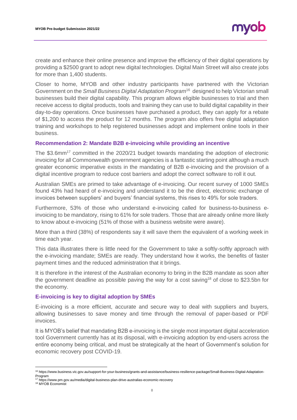create and enhance their online presence and improve the efficiency of their digital operations by providing a \$2500 grant to adopt new digital technologies. Digital Main Street will also create jobs for more than 1,400 students.

Closer to home, MYOB and other industry participants have partnered with the Victorian Government on the *Small Business Digital Adaptation Program*<sup>16</sup> designed to help Victorian small businesses build their digital capability. This program allows eligible businesses to trial and then receive access to digital products, tools and training they can use to build digital capability in their day-to-day operations. Once businesses have purchased a product, they can apply for a rebate of \$1,200 to access the product for 12 months. The program also offers free digital adaptation training and workshops to help registered businesses adopt and implement online tools in their business.

## **Recommendation 2: Mandate B2B e-invoicing while providing an incentive**

The \$3.6mm<sup>17</sup> committed in the 2020/21 budget towards mandating the adoption of electronic invoicing for all Commonwealth government agencies is a fantastic starting point although a much greater economic imperative exists in the mandating of B2B e-invoicing and the provision of a digital incentive program to reduce cost barriers and adopt the correct software to roll it out.

Australian SMEs are primed to take advantage of e-invoicing. Our recent survey of 1000 SMEs found 43% had heard of e-invoicing and understand it to be the direct, electronic exchange of invoices between suppliers' and buyers' financial systems, this rises to 49% for sole traders.

Furthermore, 53% of those who understand e-invoicing called for business-to-business einvoicing to be mandatory, rising to 61% for sole traders. Those that are already online more likely to know about e-invoicing (51% of those with a business website were aware).

More than a third (38%) of respondents say it will save them the equivalent of a working week in time each year.

This data illustrates there is little need for the Government to take a softly-softly approach with the e-invoicing mandate; SMEs are ready. They understand how it works, the benefits of faster payment times and the reduced administration that it brings.

It is therefore in the interest of the Australian economy to bring in the B2B mandate as soon after the government deadline as possible paving the way for a cost saving<sup>18</sup> of close to \$23.5bn for the economy.

#### **E-invoicing is key to digital adoption by SMEs**

E-invoicing is a more efficient, accurate and secure way to deal with suppliers and buyers, allowing businesses to save money and time through the removal of paper-based or PDF invoices.

It is MYOB's belief that mandating B2B e-invoicing is the single most important digital acceleration tool Government currently has at its disposal, with e-invoicing adoption by end-users across the entire economy being critical, and must be strategically at the heart of Government's solution for economic recovery post COVID-19.

<sup>&</sup>lt;sup>16</sup> https://www.business.vic.gov.au/support-for-your-business/grants-and-assistance/business-resilience-package/Small-Business-Digital-Adaptation-Program <sup>17</sup> https://www.pm.gov.au/media/digital-business-plan-drive-australias-economic-recovery

<sup>18</sup> MYOB Economist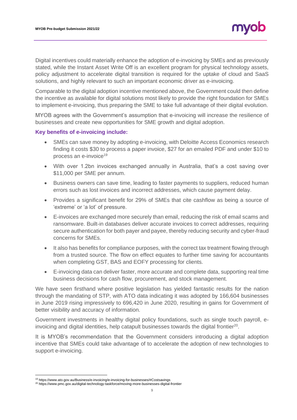Digital incentives could materially enhance the adoption of e-invoicing by SMEs and as previously stated, while the Instant Asset Write Off is an excellent program for physical technology assets, policy adjustment to accelerate digital transition is required for the uptake of cloud and SaaS solutions, and highly relevant to such an important economic driver as e-invoicing.

Comparable to the digital adoption incentive mentioned above, the Government could then define the incentive as available for digital solutions most likely to provide the right foundation for SMEs to implement e-invoicing, thus preparing the SME to take full advantage of their digital evolution.

MYOB agrees with the Government's assumption that e-invoicing will increase the resilience of businesses and create new opportunities for SME growth and digital adoption.

## **Key benefits of e-invoicing include:**

- SMEs can save money by adopting e-invoicing, with Deloitte Access Economics research finding it costs \$30 to process a paper invoice, \$27 for an emailed PDF and under \$10 to process an e-invoice<sup>19</sup>
- With over 1.2bn invoices exchanged annually in Australia, that's a cost saving over \$11,000 per SME per annum.
- Business owners can save time, leading to faster payments to suppliers, reduced human errors such as lost invoices and incorrect addresses, which cause payment delay.
- Provides a significant benefit for 29% of SMEs that cite cashflow as being a source of 'extreme' or 'a lot' of pressure.
- E-invoices are exchanged more securely than email, reducing the risk of email scams and ransomware. Built-in databases deliver accurate invoices to correct addresses, requiring secure authentication for both payer and payee, thereby reducing security and cyber-fraud concerns for SMEs.
- It also has benefits for compliance purposes, with the correct tax treatment flowing through from a trusted source. The flow on effect equates to further time saving for accountants when completing GST, BAS and EOFY processing for clients.
- E-invoicing data can deliver faster, more accurate and complete data, supporting real time business decisions for cash flow, procurement, and stock management.

We have seen firsthand where positive legislation has yielded fantastic results for the nation through the mandating of STP, with ATO data indicating it was adopted by 166,604 businesses in June 2019 rising impressively to 696,420 in June 2020, resulting in gains for Government of better visibility and accuracy of information.

Government investments in healthy digital policy foundations, such as single touch payroll, einvoicing and digital identities, help catapult businesses towards the digital frontier $^{20}$ .

It is MYOB's recommendation that the Government considers introducing a digital adoption incentive that SMEs could take advantage of to accelerate the adoption of new technologies to support e-invoicing.

<sup>19</sup> https://www.ato.gov.au/Business/e-invoicing/e-invoicing-for-businesses/#Costsavings

<sup>20</sup> https://www.pmc.gov.au/digital-technology-taskforce/moving-more-businesses-digital-frontier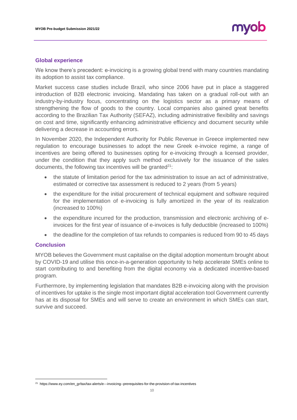## **Global experience**

We know there's precedent: e-invoicing is a growing global trend with many countries mandating its adoption to assist tax compliance.

Market success case studies include Brazil, who since 2006 have put in place a staggered introduction of B2B electronic invoicing. Mandating has taken on a gradual roll-out with an industry-by-industry focus, concentrating on the logistics sector as a primary means of strengthening the flow of goods to the country. Local companies also gained great benefits according to the Brazilian Tax Authority (SEFAZ), including administrative flexibility and savings on cost and time, significantly enhancing administrative efficiency and document security while delivering a decrease in accounting errors.

In November 2020, the Independent Authority for Public Revenue in Greece implemented new regulation to encourage businesses to adopt the new Greek e-invoice regime, a range of incentives are being offered to businesses opting for e-invoicing through a licensed provider, under the condition that they apply such method exclusively for the issuance of the sales documents, the following tax incentives will be granted $21$ :

- the statute of limitation period for the tax administration to issue an act of administrative, estimated or corrective tax assessment is reduced to 2 years (from 5 years)
- the expenditure for the initial procurement of technical equipment and software required for the implementation of e-invoicing is fully amortized in the year of its realization (increased to 100%)
- the expenditure incurred for the production, transmission and electronic archiving of einvoices for the first year of issuance of e-invoices is fully deductible (increased to 100%)
- the deadline for the completion of tax refunds to companies is reduced from 90 to 45 days

#### **Conclusion**

MYOB believes the Government must capitalise on the digital adoption momentum brought about by COVID-19 and utilise this once-in-a-generation opportunity to help accelerate SMEs online to start contributing to and benefiting from the digital economy via a dedicated incentive-based program.

Furthermore, by implementing legislation that mandates B2B e-invoicing along with the provision of incentives for uptake is the single most important digital acceleration tool Government currently has at its disposal for SMEs and will serve to create an environment in which SMEs can start, survive and succeed.

<sup>&</sup>lt;sup>21</sup> https://www.ey.com/en\_gr/tax/tax-alerts/e---invoicing--prerequisites-for-the-provision-of-tax-incentives